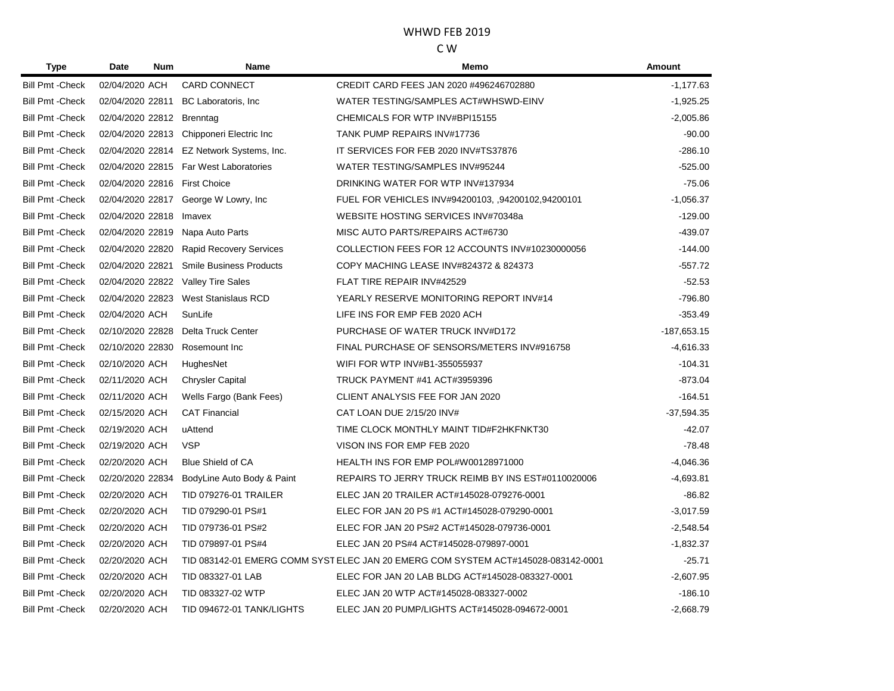| Type                    | <b>Num</b><br><b>Date</b>     | Name                                      | Memo                                                                              | Amount        |
|-------------------------|-------------------------------|-------------------------------------------|-----------------------------------------------------------------------------------|---------------|
| <b>Bill Pmt - Check</b> | 02/04/2020 ACH                | <b>CARD CONNECT</b>                       | CREDIT CARD FEES JAN 2020 #496246702880                                           | $-1,177.63$   |
| <b>Bill Pmt - Check</b> | 02/04/2020 22811              | BC Laboratoris, Inc                       | WATER TESTING/SAMPLES ACT#WHSWD-EINV                                              | $-1,925.25$   |
| <b>Bill Pmt - Check</b> | 02/04/2020 22812 Brenntag     |                                           | CHEMICALS FOR WTP INV#BPI15155                                                    | $-2,005.86$   |
| <b>Bill Pmt - Check</b> |                               | 02/04/2020 22813 Chipponeri Electric Inc  | TANK PUMP REPAIRS INV#17736                                                       | $-90.00$      |
| <b>Bill Pmt - Check</b> |                               | 02/04/2020 22814 EZ Network Systems, Inc. | IT SERVICES FOR FEB 2020 INV#TS37876                                              | $-286.10$     |
| <b>Bill Pmt - Check</b> |                               | 02/04/2020 22815 Far West Laboratories    | WATER TESTING/SAMPLES INV#95244                                                   | $-525.00$     |
| <b>Bill Pmt - Check</b> | 02/04/2020 22816 First Choice |                                           | DRINKING WATER FOR WTP INV#137934                                                 | $-75.06$      |
| <b>Bill Pmt - Check</b> | 02/04/2020 22817              | George W Lowry, Inc.                      | FUEL FOR VEHICLES INV#94200103, ,94200102,94200101                                | $-1,056.37$   |
| <b>Bill Pmt - Check</b> | 02/04/2020 22818              | Imavex                                    | WEBSITE HOSTING SERVICES INV#70348a                                               | $-129.00$     |
| <b>Bill Pmt - Check</b> | 02/04/2020 22819              | Napa Auto Parts                           | MISC AUTO PARTS/REPAIRS ACT#6730                                                  | $-439.07$     |
| <b>Bill Pmt - Check</b> | 02/04/2020 22820              | <b>Rapid Recovery Services</b>            | COLLECTION FEES FOR 12 ACCOUNTS INV#10230000056                                   | $-144.00$     |
| <b>Bill Pmt - Check</b> | 02/04/2020 22821              | <b>Smile Business Products</b>            | COPY MACHING LEASE INV#824372 & 824373                                            | $-557.72$     |
| <b>Bill Pmt - Check</b> | 02/04/2020 22822              | <b>Valley Tire Sales</b>                  | FLAT TIRE REPAIR INV#42529                                                        | $-52.53$      |
| <b>Bill Pmt - Check</b> | 02/04/2020 22823              | <b>West Stanislaus RCD</b>                | YEARLY RESERVE MONITORING REPORT INV#14                                           | $-796.80$     |
| <b>Bill Pmt - Check</b> | 02/04/2020 ACH                | SunLife                                   | LIFE INS FOR EMP FEB 2020 ACH                                                     | $-353.49$     |
| <b>Bill Pmt - Check</b> | 02/10/2020 22828              | Delta Truck Center                        | PURCHASE OF WATER TRUCK INV#D172                                                  | $-187,653.15$ |
| <b>Bill Pmt - Check</b> | 02/10/2020 22830              | Rosemount Inc                             | FINAL PURCHASE OF SENSORS/METERS INV#916758                                       | $-4,616.33$   |
| <b>Bill Pmt - Check</b> | 02/10/2020 ACH                | HughesNet                                 | WIFI FOR WTP INV#B1-355055937                                                     | $-104.31$     |
| <b>Bill Pmt - Check</b> | 02/11/2020 ACH                | <b>Chrysler Capital</b>                   | <b>TRUCK PAYMENT #41 ACT#3959396</b>                                              | $-873.04$     |
| <b>Bill Pmt - Check</b> | 02/11/2020 ACH                | Wells Fargo (Bank Fees)                   | CLIENT ANALYSIS FEE FOR JAN 2020                                                  | $-164.51$     |
| <b>Bill Pmt - Check</b> | 02/15/2020 ACH                | <b>CAT Financial</b>                      | CAT LOAN DUE 2/15/20 INV#                                                         | $-37,594.35$  |
| <b>Bill Pmt - Check</b> | 02/19/2020 ACH                | uAttend                                   | TIME CLOCK MONTHLY MAINT TID#F2HKFNKT30                                           | $-42.07$      |
| <b>Bill Pmt - Check</b> | 02/19/2020 ACH                | <b>VSP</b>                                | VISON INS FOR EMP FEB 2020                                                        | $-78.48$      |
| <b>Bill Pmt - Check</b> | 02/20/2020 ACH                | <b>Blue Shield of CA</b>                  | HEALTH INS FOR EMP POL#W00128971000                                               | $-4,046.36$   |
| <b>Bill Pmt - Check</b> | 02/20/2020 22834              | BodyLine Auto Body & Paint                | REPAIRS TO JERRY TRUCK REIMB BY INS EST#0110020006                                | $-4,693.81$   |
| <b>Bill Pmt - Check</b> | 02/20/2020 ACH                | <b>TID 079276-01 TRAILER</b>              | ELEC JAN 20 TRAILER ACT#145028-079276-0001                                        | $-86.82$      |
| <b>Bill Pmt - Check</b> | 02/20/2020 ACH                | TID 079290-01 PS#1                        | ELEC FOR JAN 20 PS #1 ACT#145028-079290-0001                                      | $-3,017.59$   |
| <b>Bill Pmt - Check</b> | 02/20/2020 ACH                | TID 079736-01 PS#2                        | ELEC FOR JAN 20 PS#2 ACT#145028-079736-0001                                       | $-2,548.54$   |
| <b>Bill Pmt - Check</b> | 02/20/2020 ACH                | TID 079897-01 PS#4                        | ELEC JAN 20 PS#4 ACT#145028-079897-0001                                           | $-1,832.37$   |
| <b>Bill Pmt - Check</b> | 02/20/2020 ACH                |                                           | TID 083142-01 EMERG COMM SYST ELEC JAN 20 EMERG COM SYSTEM ACT#145028-083142-0001 | $-25.71$      |
| <b>Bill Pmt - Check</b> | 02/20/2020 ACH                | TID 083327-01 LAB                         | ELEC FOR JAN 20 LAB BLDG ACT#145028-083327-0001                                   | $-2,607.95$   |
| <b>Bill Pmt - Check</b> | 02/20/2020 ACH                | TID 083327-02 WTP                         | ELEC JAN 20 WTP ACT#145028-083327-0002                                            | $-186.10$     |
| <b>Bill Pmt - Check</b> | 02/20/2020 ACH                | TID 094672-01 TANK/LIGHTS                 | ELEC JAN 20 PUMP/LIGHTS ACT#145028-094672-0001                                    | $-2,668.79$   |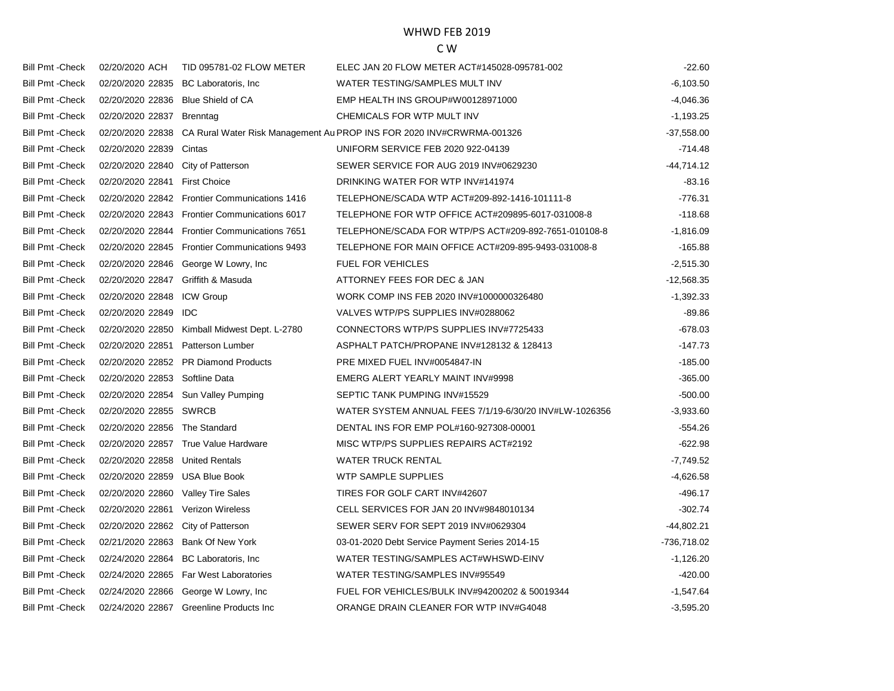| <b>Bill Pmt - Check</b> | 02/20/2020 ACH                     | TID 095781-02 FLOW METER                      | ELEC JAN 20 FLOW METER ACT#145028-095781-002                          | $-22.60$     |
|-------------------------|------------------------------------|-----------------------------------------------|-----------------------------------------------------------------------|--------------|
| <b>Bill Pmt - Check</b> | 02/20/2020 22835                   | BC Laboratoris, Inc.                          | WATER TESTING/SAMPLES MULT INV                                        | $-6,103.50$  |
| <b>Bill Pmt - Check</b> | 02/20/2020 22836                   | <b>Blue Shield of CA</b>                      | EMP HEALTH INS GROUP#W00128971000                                     | $-4,046.36$  |
| <b>Bill Pmt - Check</b> | 02/20/2020 22837                   | <b>Brenntag</b>                               | CHEMICALS FOR WTP MULT INV                                            | $-1,193.25$  |
| <b>Bill Pmt - Check</b> | 02/20/2020 22838                   |                                               | CA Rural Water Risk Management Au PROP INS FOR 2020 INV#CRWRMA-001326 | $-37,558.00$ |
| <b>Bill Pmt - Check</b> | 02/20/2020 22839                   | Cintas                                        | UNIFORM SERVICE FEB 2020 922-04139                                    | $-714.48$    |
| <b>Bill Pmt - Check</b> | 02/20/2020 22840                   | City of Patterson                             | SEWER SERVICE FOR AUG 2019 INV#0629230                                | $-44,714.12$ |
| <b>Bill Pmt - Check</b> | 02/20/2020 22841                   | <b>First Choice</b>                           | DRINKING WATER FOR WTP INV#141974                                     | $-83.16$     |
| <b>Bill Pmt - Check</b> |                                    | 02/20/2020 22842 Frontier Communications 1416 | TELEPHONE/SCADA WTP ACT#209-892-1416-101111-8                         | $-776.31$    |
| <b>Bill Pmt - Check</b> |                                    | 02/20/2020 22843 Frontier Communications 6017 | TELEPHONE FOR WTP OFFICE ACT#209895-6017-031008-8                     | $-118.68$    |
| <b>Bill Pmt - Check</b> | 02/20/2020 22844                   | <b>Frontier Communications 7651</b>           | TELEPHONE/SCADA FOR WTP/PS ACT#209-892-7651-010108-8                  | $-1,816.09$  |
| <b>Bill Pmt - Check</b> |                                    | 02/20/2020 22845 Frontier Communications 9493 | TELEPHONE FOR MAIN OFFICE ACT#209-895-9493-031008-8                   | $-165.88$    |
| <b>Bill Pmt - Check</b> | 02/20/2020 22846                   | George W Lowry, Inc.                          | FUEL FOR VEHICLES                                                     | $-2,515.30$  |
| <b>Bill Pmt - Check</b> | 02/20/2020 22847 Griffith & Masuda |                                               | ATTORNEY FEES FOR DEC & JAN                                           | $-12,568.35$ |
| <b>Bill Pmt - Check</b> | 02/20/2020 22848                   | <b>ICW Group</b>                              | WORK COMP INS FEB 2020 INV#1000000326480                              | $-1,392.33$  |
| <b>Bill Pmt - Check</b> | 02/20/2020 22849 IDC               |                                               | VALVES WTP/PS SUPPLIES INV#0288062                                    | $-89.86$     |
| <b>Bill Pmt - Check</b> | 02/20/2020 22850                   | Kimball Midwest Dept. L-2780                  | CONNECTORS WTP/PS SUPPLIES INV#7725433                                | $-678.03$    |
| <b>Bill Pmt - Check</b> | 02/20/2020 22851                   | <b>Patterson Lumber</b>                       | ASPHALT PATCH/PROPANE INV#128132 & 128413                             | $-147.73$    |
| <b>Bill Pmt - Check</b> |                                    | 02/20/2020 22852 PR Diamond Products          | PRE MIXED FUEL INV#0054847-IN                                         | $-185.00$    |
| <b>Bill Pmt - Check</b> | 02/20/2020 22853                   | Softline Data                                 | EMERG ALERT YEARLY MAINT INV#9998                                     | $-365.00$    |
| <b>Bill Pmt - Check</b> |                                    | 02/20/2020 22854 Sun Valley Pumping           | SEPTIC TANK PUMPING INV#15529                                         | $-500.00$    |
| <b>Bill Pmt - Check</b> | 02/20/2020 22855                   | SWRCB                                         | WATER SYSTEM ANNUAL FEES 7/1/19-6/30/20 INV#LW-1026356                | $-3,933.60$  |
| <b>Bill Pmt - Check</b> | 02/20/2020 22856 The Standard      |                                               | DENTAL INS FOR EMP POL#160-927308-00001                               | $-554.26$    |
| <b>Bill Pmt - Check</b> |                                    | 02/20/2020 22857 True Value Hardware          | MISC WTP/PS SUPPLIES REPAIRS ACT#2192                                 | -622.98      |
| <b>Bill Pmt - Check</b> | 02/20/2020 22858                   | <b>United Rentals</b>                         | <b>WATER TRUCK RENTAL</b>                                             | $-7,749.52$  |
| <b>Bill Pmt - Check</b> | 02/20/2020 22859                   | <b>USA Blue Book</b>                          | <b>WTP SAMPLE SUPPLIES</b>                                            | $-4,626.58$  |
| <b>Bill Pmt - Check</b> | 02/20/2020 22860                   | <b>Valley Tire Sales</b>                      | TIRES FOR GOLF CART INV#42607                                         | $-496.17$    |
| <b>Bill Pmt - Check</b> | 02/20/2020 22861 Verizon Wireless  |                                               | CELL SERVICES FOR JAN 20 INV#9848010134                               | $-302.74$    |
| <b>Bill Pmt - Check</b> | 02/20/2020 22862                   | City of Patterson                             | SEWER SERV FOR SEPT 2019 INV#0629304                                  | $-44,802.21$ |
| <b>Bill Pmt - Check</b> | 02/21/2020 22863                   | <b>Bank Of New York</b>                       | 03-01-2020 Debt Service Payment Series 2014-15                        | -736,718.02  |
| <b>Bill Pmt - Check</b> | 02/24/2020 22864                   | BC Laboratoris, Inc                           | WATER TESTING/SAMPLES ACT#WHSWD-EINV                                  | $-1,126.20$  |
| <b>Bill Pmt - Check</b> |                                    | 02/24/2020 22865 Far West Laboratories        | WATER TESTING/SAMPLES INV#95549                                       | $-420.00$    |
| <b>Bill Pmt - Check</b> |                                    | 02/24/2020 22866 George W Lowry, Inc          | FUEL FOR VEHICLES/BULK INV#94200202 & 50019344                        | $-1,547.64$  |
| <b>Bill Pmt - Check</b> |                                    | 02/24/2020 22867 Greenline Products Inc       | ORANGE DRAIN CLEANER FOR WTP INV#G4048                                | $-3,595.20$  |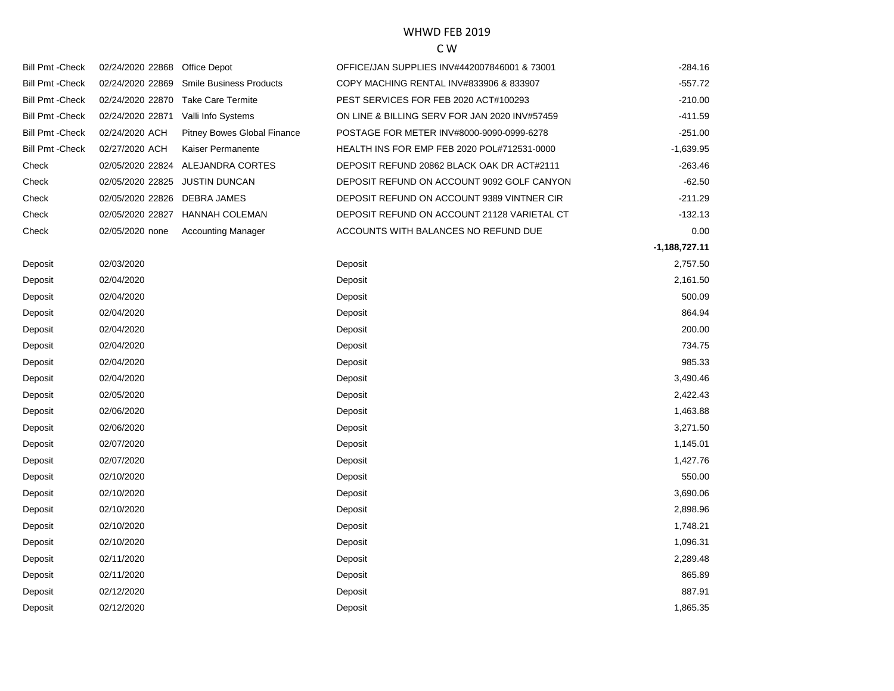| <b>Bill Pmt - Check</b> | 02/24/2020 22868 | Office Depot                   | OFFICE/JAN SUPPLIES INV#442007846001 & 73001  | -284.16         |
|-------------------------|------------------|--------------------------------|-----------------------------------------------|-----------------|
| <b>Bill Pmt - Check</b> | 02/24/2020 22869 | <b>Smile Business Products</b> | COPY MACHING RENTAL INV#833906 & 833907       | $-557.72$       |
| <b>Bill Pmt - Check</b> | 02/24/2020 22870 | <b>Take Care Termite</b>       | PEST SERVICES FOR FEB 2020 ACT#100293         | $-210.00$       |
| <b>Bill Pmt - Check</b> | 02/24/2020 22871 | Valli Info Systems             | ON LINE & BILLING SERV FOR JAN 2020 INV#57459 | $-411.59$       |
| <b>Bill Pmt - Check</b> | 02/24/2020 ACH   | Pitney Bowes Global Finance    | POSTAGE FOR METER INV#8000-9090-0999-6278     | $-251.00$       |
| <b>Bill Pmt - Check</b> | 02/27/2020 ACH   | Kaiser Permanente              | HEALTH INS FOR EMP FEB 2020 POL#712531-0000   | $-1,639.95$     |
| Check                   | 02/05/2020 22824 | ALEJANDRA CORTES               | DEPOSIT REFUND 20862 BLACK OAK DR ACT#2111    | $-263.46$       |
| Check                   | 02/05/2020 22825 | <b>JUSTIN DUNCAN</b>           | DEPOSIT REFUND ON ACCOUNT 9092 GOLF CANYON    | $-62.50$        |
| Check                   | 02/05/2020 22826 | <b>DEBRA JAMES</b>             | DEPOSIT REFUND ON ACCOUNT 9389 VINTNER CIR    | $-211.29$       |
| Check                   | 02/05/2020 22827 | <b>HANNAH COLEMAN</b>          | DEPOSIT REFUND ON ACCOUNT 21128 VARIETAL CT   | $-132.13$       |
| Check                   | 02/05/2020 none  | <b>Accounting Manager</b>      | ACCOUNTS WITH BALANCES NO REFUND DUE          | 0.00            |
|                         |                  |                                |                                               | $-1,188,727.11$ |
| Deposit                 | 02/03/2020       |                                | Deposit                                       | 2,757.50        |
| Deposit                 | 02/04/2020       |                                | Deposit                                       | 2,161.50        |
| Deposit                 | 02/04/2020       |                                | Deposit                                       | 500.09          |
| Deposit                 | 02/04/2020       |                                | Deposit                                       | 864.94          |
| Deposit                 | 02/04/2020       |                                | Deposit                                       | 200.00          |
| Deposit                 | 02/04/2020       |                                | Deposit                                       | 734.75          |
| Deposit                 | 02/04/2020       |                                | Deposit                                       | 985.33          |
| Deposit                 | 02/04/2020       |                                | Deposit                                       | 3,490.46        |
| Deposit                 | 02/05/2020       |                                | Deposit                                       | 2,422.43        |
| Deposit                 | 02/06/2020       |                                | Deposit                                       | 1,463.88        |
| Deposit                 | 02/06/2020       |                                | Deposit                                       | 3,271.50        |
| Deposit                 | 02/07/2020       |                                | Deposit                                       | 1,145.01        |
| Deposit                 | 02/07/2020       |                                | Deposit                                       | 1,427.76        |
| Deposit                 | 02/10/2020       |                                | Deposit                                       | 550.00          |
| Deposit                 | 02/10/2020       |                                | Deposit                                       | 3,690.06        |
| Deposit                 | 02/10/2020       |                                | Deposit                                       | 2,898.96        |
| Deposit                 | 02/10/2020       |                                | Deposit                                       | 1,748.21        |
| Deposit                 | 02/10/2020       |                                | Deposit                                       | 1,096.31        |
| Deposit                 | 02/11/2020       |                                | Deposit                                       | 2,289.48        |
| Deposit                 | 02/11/2020       |                                | Deposit                                       | 865.89          |
| Deposit                 | 02/12/2020       |                                | Deposit                                       | 887.91          |
| Deposit                 | 02/12/2020       |                                | Deposit                                       | 1,865.35        |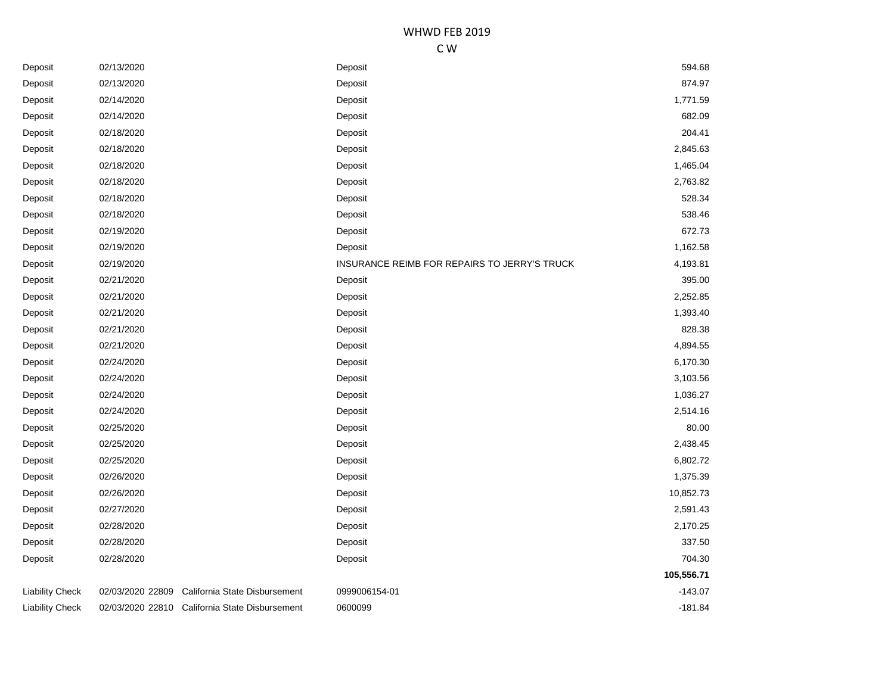| Deposit         | 02/13/2020       |                                                | Deposit                                      | 594.68     |
|-----------------|------------------|------------------------------------------------|----------------------------------------------|------------|
| Deposit         | 02/13/2020       |                                                | Deposit                                      | 874.97     |
| Deposit         | 02/14/2020       |                                                | Deposit                                      | 1,771.59   |
| Deposit         | 02/14/2020       |                                                | Deposit                                      | 682.09     |
| Deposit         | 02/18/2020       |                                                | Deposit                                      | 204.41     |
| Deposit         | 02/18/2020       |                                                | Deposit                                      | 2,845.63   |
| Deposit         | 02/18/2020       |                                                | Deposit                                      | 1,465.04   |
| Deposit         | 02/18/2020       |                                                | Deposit                                      | 2,763.82   |
| Deposit         | 02/18/2020       |                                                | Deposit                                      | 528.34     |
| Deposit         | 02/18/2020       |                                                | Deposit                                      | 538.46     |
| Deposit         | 02/19/2020       |                                                | Deposit                                      | 672.73     |
| Deposit         | 02/19/2020       |                                                | Deposit                                      | 1,162.58   |
| Deposit         | 02/19/2020       |                                                | INSURANCE REIMB FOR REPAIRS TO JERRY'S TRUCK | 4,193.81   |
| Deposit         | 02/21/2020       |                                                | Deposit                                      | 395.00     |
| Deposit         | 02/21/2020       |                                                | Deposit                                      | 2,252.85   |
| Deposit         | 02/21/2020       |                                                | Deposit                                      | 1,393.40   |
| Deposit         | 02/21/2020       |                                                | Deposit                                      | 828.38     |
| Deposit         | 02/21/2020       |                                                | Deposit                                      | 4,894.55   |
| Deposit         | 02/24/2020       |                                                | Deposit                                      | 6,170.30   |
| Deposit         | 02/24/2020       |                                                | Deposit                                      | 3,103.56   |
| Deposit         | 02/24/2020       |                                                | Deposit                                      | 1,036.27   |
| Deposit         | 02/24/2020       |                                                | Deposit                                      | 2,514.16   |
| Deposit         | 02/25/2020       |                                                | Deposit                                      | 80.00      |
| Deposit         | 02/25/2020       |                                                | Deposit                                      | 2,438.45   |
| Deposit         | 02/25/2020       |                                                | Deposit                                      | 6,802.72   |
| Deposit         | 02/26/2020       |                                                | Deposit                                      | 1,375.39   |
| Deposit         | 02/26/2020       |                                                | Deposit                                      | 10,852.73  |
| Deposit         | 02/27/2020       |                                                | Deposit                                      | 2,591.43   |
| Deposit         | 02/28/2020       |                                                | Deposit                                      | 2,170.25   |
| Deposit         | 02/28/2020       |                                                | Deposit                                      | 337.50     |
| Deposit         | 02/28/2020       |                                                | Deposit                                      | 704.30     |
|                 |                  |                                                |                                              | 105,556.71 |
| Liability Check | 02/03/2020 22809 | California State Disbursement                  | 0999006154-01                                | $-143.07$  |
| Liability Check |                  | 02/03/2020 22810 California State Disbursement | 0600099                                      | $-181.84$  |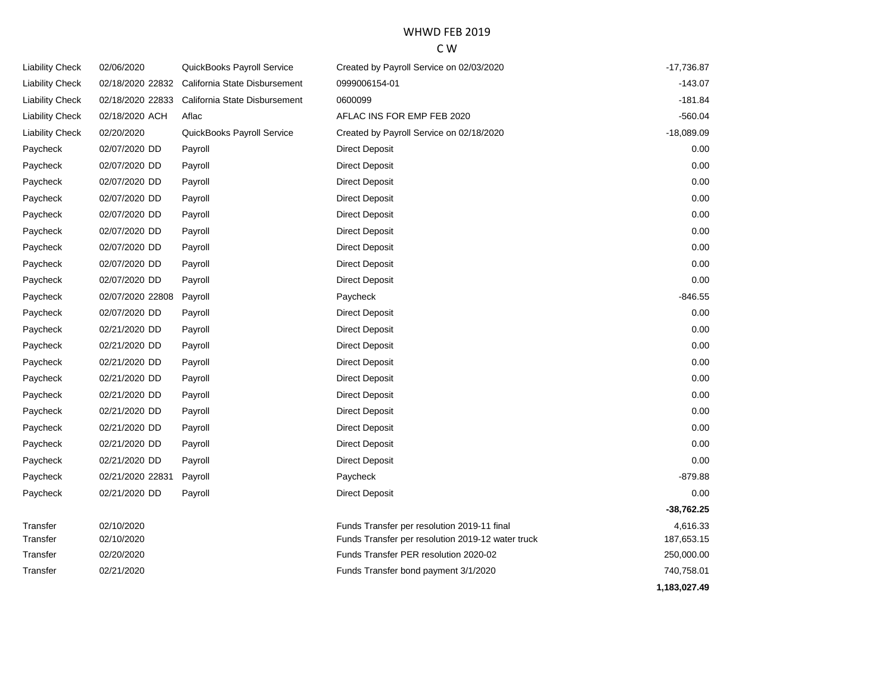#### WHWD FEB 2019 C W

| <b>Liability Check</b> | 02/06/2020       | QuickBooks Payroll Service    | Created by Payroll Service on 02/03/2020          | $-17,736.87$ |
|------------------------|------------------|-------------------------------|---------------------------------------------------|--------------|
| <b>Liability Check</b> | 02/18/2020 22832 | California State Disbursement | 0999006154-01                                     | $-143.07$    |
| <b>Liability Check</b> | 02/18/2020 22833 | California State Disbursement | 0600099                                           | $-181.84$    |
| <b>Liability Check</b> | 02/18/2020 ACH   | Aflac                         | AFLAC INS FOR EMP FEB 2020                        | $-560.04$    |
| <b>Liability Check</b> | 02/20/2020       | QuickBooks Payroll Service    | Created by Payroll Service on 02/18/2020          | $-18,089.09$ |
| Paycheck               | 02/07/2020 DD    | Payroll                       | <b>Direct Deposit</b>                             | 0.00         |
| Paycheck               | 02/07/2020 DD    | Payroll                       | <b>Direct Deposit</b>                             | 0.00         |
| Paycheck               | 02/07/2020 DD    | Payroll                       | <b>Direct Deposit</b>                             | 0.00         |
| Paycheck               | 02/07/2020 DD    | Payroll                       | <b>Direct Deposit</b>                             | 0.00         |
| Paycheck               | 02/07/2020 DD    | Payroll                       | <b>Direct Deposit</b>                             | 0.00         |
| Paycheck               | 02/07/2020 DD    | Payroll                       | <b>Direct Deposit</b>                             | 0.00         |
| Paycheck               | 02/07/2020 DD    | Payroll                       | Direct Deposit                                    | 0.00         |
| Paycheck               | 02/07/2020 DD    | Payroll                       | <b>Direct Deposit</b>                             | 0.00         |
| Paycheck               | 02/07/2020 DD    | Payroll                       | <b>Direct Deposit</b>                             | 0.00         |
| Paycheck               | 02/07/2020 22808 | Payroll                       | Paycheck                                          | $-846.55$    |
| Paycheck               | 02/07/2020 DD    | Payroll                       | <b>Direct Deposit</b>                             | 0.00         |
| Paycheck               | 02/21/2020 DD    | Payroll                       | <b>Direct Deposit</b>                             | 0.00         |
| Paycheck               | 02/21/2020 DD    | Payroll                       | Direct Deposit                                    | 0.00         |
| Paycheck               | 02/21/2020 DD    | Payroll                       | <b>Direct Deposit</b>                             | 0.00         |
| Paycheck               | 02/21/2020 DD    | Payroll                       | <b>Direct Deposit</b>                             | 0.00         |
| Paycheck               | 02/21/2020 DD    | Payroll                       | <b>Direct Deposit</b>                             | 0.00         |
| Paycheck               | 02/21/2020 DD    | Payroll                       | <b>Direct Deposit</b>                             | 0.00         |
| Paycheck               | 02/21/2020 DD    | Payroll                       | <b>Direct Deposit</b>                             | 0.00         |
| Paycheck               | 02/21/2020 DD    | Payroll                       | <b>Direct Deposit</b>                             | 0.00         |
| Paycheck               | 02/21/2020 DD    | Payroll                       | <b>Direct Deposit</b>                             | 0.00         |
| Paycheck               | 02/21/2020 22831 | Payroll                       | Paycheck                                          | -879.88      |
| Paycheck               | 02/21/2020 DD    | Payroll                       | <b>Direct Deposit</b>                             | 0.00         |
|                        |                  |                               |                                                   | $-38,762.25$ |
| Transfer               | 02/10/2020       |                               | Funds Transfer per resolution 2019-11 final       | 4,616.33     |
| Transfer               | 02/10/2020       |                               | Funds Transfer per resolution 2019-12 water truck | 187,653.15   |
| Transfer               | 02/20/2020       |                               | Funds Transfer PER resolution 2020-02             | 250,000.00   |
| Transfer               | 02/21/2020       |                               | Funds Transfer bond payment 3/1/2020              | 740,758.01   |
|                        |                  |                               |                                                   | 1,183,027.49 |